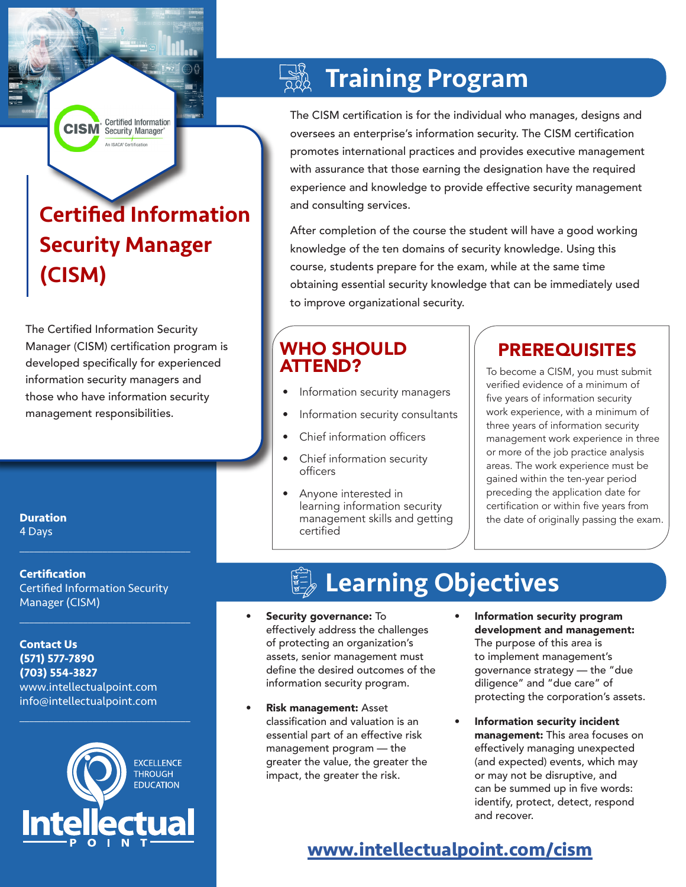**CISM** Certified Information An ISACA<sup>®</sup> Certification

# Certified Information Security Manager (CISM)

The Certified Information Security Manager (CISM) certification program is developed specifically for experienced information security managers and those who have information security management responsibilities.

### $\frac{1}{2}$ Training Program

The CISM certification is for the individual who manages, designs and oversees an enterprise's information security. The CISM certification promotes international practices and provides executive management with assurance that those earning the designation have the required experience and knowledge to provide effective security management and consulting services.

After completion of the course the student will have a good working knowledge of the ten domains of security knowledge. Using this course, students prepare for the exam, while at the same time obtaining essential security knowledge that can be immediately used to improve organizational security.

## WHO SHOULD ATTEND?

- Information security managers
- Information security consultants
- Chief information officers
- Chief information security officers
- Anyone interested in learning information security management skills and getting certified

# PREREQUISITES

To become a CISM, you must submit verified evidence of a minimum of five years of information security work experience, with a minimum of three years of information security management work experience in three or more of the job practice analysis areas. The work experience must be gained within the ten-year period preceding the application date for certification or within five years from the date of originally passing the exam.

### **Duration**

4 Days

### **Certification** Certified Information Security Manager (CISM)

 $\mathcal{L}_\text{max}$  , and the set of the set of the set of the set of the set of the set of the set of the set of the set of the set of the set of the set of the set of the set of the set of the set of the set of the set of the

 $\mathcal{L}_\text{max}$  , and the set of the set of the set of the set of the set of the set of the set of the set of the set of the set of the set of the set of the set of the set of the set of the set of the set of the set of the

**Contact Us (571) 577-7890 (703) 554-3827** www.intellectualpoint.com info@intellectualpoint.com



 $\mathcal{L}_\text{max}$  , and the set of the set of the set of the set of the set of the set of the set of the set of the set of the set of the set of the set of the set of the set of the set of the set of the set of the set of the

# **Learning Objectives**

- Security governance: To effectively address the challenges of protecting an organization's assets, senior management must define the desired outcomes of the information security program.
- Risk management: Asset classification and valuation is an essential part of an effective risk management program — the greater the value, the greater the impact, the greater the risk.
- Information security program development and management: The purpose of this area is to implement management's governance strategy — the "due diligence" and "due care" of protecting the corporation's assets.
- Information security incident management: This area focuses on effectively managing unexpected (and expected) events, which may or may not be disruptive, and can be summed up in five words: identify, protect, detect, respond and recover.

## **www.[intellectualpoint.com/](https://www.intellectualpoint.com/product/certified-information-system-auditor/)cism**